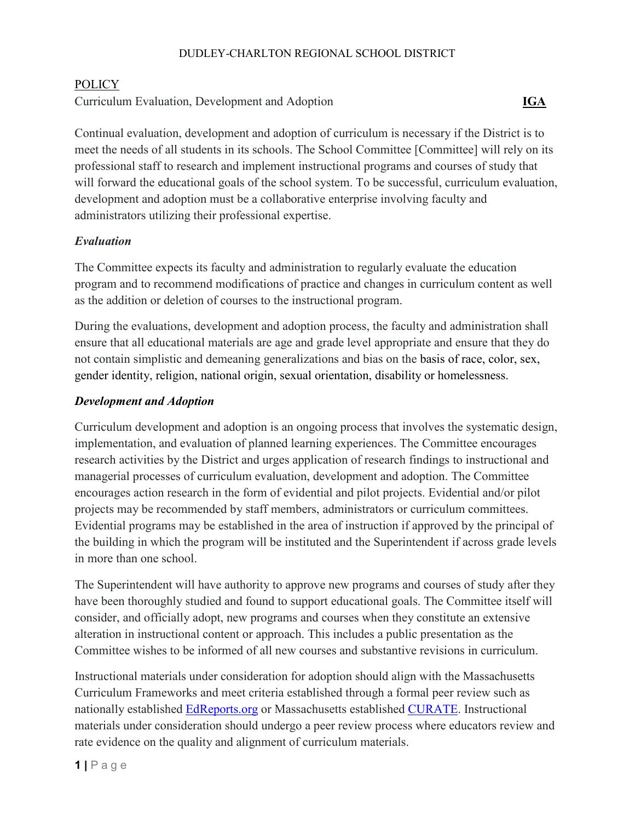### DUDLEY-CHARLTON REGIONAL SCHOOL DISTRICT

#### POLICY

Curriculum Evaluation, Development and Adoption **IGA**

Continual evaluation, development and adoption of curriculum is necessary if the District is to meet the needs of all students in its schools. The School Committee [Committee] will rely on its professional staff to research and implement instructional programs and courses of study that will forward the educational goals of the school system. To be successful, curriculum evaluation, development and adoption must be a collaborative enterprise involving faculty and administrators utilizing their professional expertise.

### *Evaluation*

The Committee expects its faculty and administration to regularly evaluate the education program and to recommend modifications of practice and changes in curriculum content as well as the addition or deletion of courses to the instructional program.

During the evaluations, development and adoption process, the faculty and administration shall ensure that all educational materials are age and grade level appropriate and ensure that they do not contain simplistic and demeaning generalizations and bias on the basis of race, color, sex, gender identity, religion, national origin, sexual orientation, disability or homelessness.

### *Development and Adoption*

Curriculum development and adoption is an ongoing process that involves the systematic design, implementation, and evaluation of planned learning experiences. The Committee encourages research activities by the District and urges application of research findings to instructional and managerial processes of curriculum evaluation, development and adoption. The Committee encourages action research in the form of evidential and pilot projects. Evidential and/or pilot projects may be recommended by staff members, administrators or curriculum committees. Evidential programs may be established in the area of instruction if approved by the principal of the building in which the program will be instituted and the Superintendent if across grade levels in more than one school.

The Superintendent will have authority to approve new programs and courses of study after they have been thoroughly studied and found to support educational goals. The Committee itself will consider, and officially adopt, new programs and courses when they constitute an extensive alteration in instructional content or approach. This includes a public presentation as the Committee wishes to be informed of all new courses and substantive revisions in curriculum.

Instructional materials under consideration for adoption should align with the Massachusetts Curriculum Frameworks and meet criteria established through a formal peer review such as nationally established [EdReports.org](https://www.edreports.org/) or Massachusetts established [CURATE.](https://www.doe.mass.edu/instruction/curate/) Instructional materials under consideration should undergo a peer review process where educators review and rate evidence on the quality and alignment of curriculum materials.

**1 |** Page